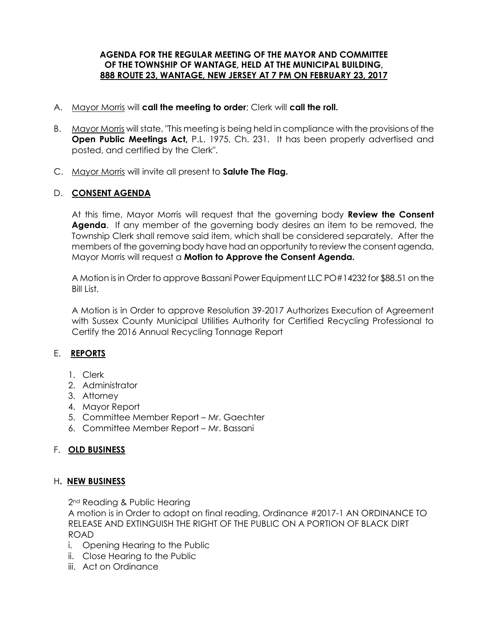#### **AGENDA FOR THE REGULAR MEETING OF THE MAYOR AND COMMITTEE OF THE TOWNSHIP OF WANTAGE, HELD AT THE MUNICIPAL BUILDING, 888 ROUTE 23, WANTAGE, NEW JERSEY AT 7 PM ON FEBRUARY 23, 2017**

- A. Mayor Morris will **call the meeting to order**; Clerk will **call the roll.**
- B. Mayor Morris will state, "This meeting is being held in compliance with the provisions of the **Open Public Meetings Act,** P.L. 1975, Ch. 231. It has been properly advertised and posted, and certified by the Clerk".
- C. Mayor Morris will invite all present to **Salute The Flag.**

## D. **CONSENT AGENDA**

At this time, Mayor Morris will request that the governing body **Review the Consent Agenda**. If any member of the governing body desires an item to be removed, the Township Clerk shall remove said item, which shall be considered separately. After the members of the governing body have had an opportunity to review the consent agenda, Mayor Morris will request a **Motion to Approve the Consent Agenda.** 

A Motion is in Order to approve Bassani Power Equipment LLC PO#14232 for \$88.51 on the Bill List.

A Motion is in Order to approve Resolution 39-2017 Authorizes Execution of Agreement with Sussex County Municipal Utilities Authority for Certified Recycling Professional to Certify the 2016 Annual Recycling Tonnage Report

# E. **REPORTS**

- 1. Clerk
- 2. Administrator
- 3. Attorney
- 4. Mayor Report
- 5. Committee Member Report Mr. Gaechter
- 6. Committee Member Report Mr. Bassani

## F. **OLD BUSINESS**

## H**. NEW BUSINESS**

2<sup>nd</sup> Reading & Public Hearing

A motion is in Order to adopt on final reading, Ordinance #2017-1 AN ORDINANCE TO RELEASE AND EXTINGUISH THE RIGHT OF THE PUBLIC ON A PORTION OF BLACK DIRT ROAD

- i. Opening Hearing to the Public
- ii. Close Hearing to the Public
- iii. Act on Ordinance